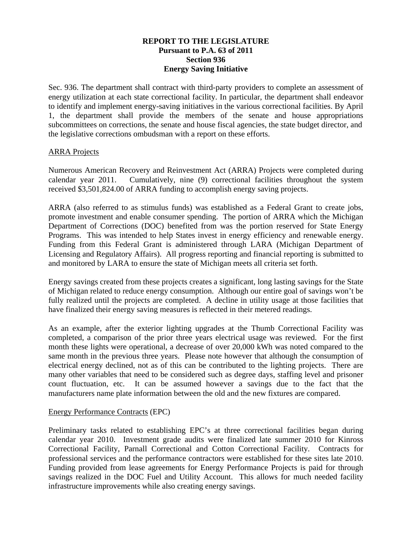## **REPORT TO THE LEGISLATURE Pursuant to P.A. 63 of 2011 Section 936 Energy Saving Initiative**

Sec. 936. The department shall contract with third-party providers to complete an assessment of energy utilization at each state correctional facility. In particular, the department shall endeavor to identify and implement energy-saving initiatives in the various correctional facilities. By April 1, the department shall provide the members of the senate and house appropriations subcommittees on corrections, the senate and house fiscal agencies, the state budget director, and the legislative corrections ombudsman with a report on these efforts.

## ARRA Projects

Numerous American Recovery and Reinvestment Act (ARRA) Projects were completed during calendar year 2011. Cumulatively, nine (9) correctional facilities throughout the system received \$3,501,824.00 of ARRA funding to accomplish energy saving projects.

ARRA (also referred to as stimulus funds) was established as a Federal Grant to create jobs, promote investment and enable consumer spending. The portion of ARRA which the Michigan Department of Corrections (DOC) benefited from was the portion reserved for State Energy Programs. This was intended to help States invest in energy efficiency and renewable energy. Funding from this Federal Grant is administered through LARA (Michigan Department of Licensing and Regulatory Affairs). All progress reporting and financial reporting is submitted to and monitored by LARA to ensure the state of Michigan meets all criteria set forth.

Energy savings created from these projects creates a significant, long lasting savings for the State of Michigan related to reduce energy consumption. Although our entire goal of savings won't be fully realized until the projects are completed. A decline in utility usage at those facilities that have finalized their energy saving measures is reflected in their metered readings.

As an example, after the exterior lighting upgrades at the Thumb Correctional Facility was completed, a comparison of the prior three years electrical usage was reviewed. For the first month these lights were operational, a decrease of over 20,000 kWh was noted compared to the same month in the previous three years. Please note however that although the consumption of electrical energy declined, not as of this can be contributed to the lighting projects. There are many other variables that need to be considered such as degree days, staffing level and prisoner count fluctuation, etc. It can be assumed however a savings due to the fact that the manufacturers name plate information between the old and the new fixtures are compared.

## Energy Performance Contracts (EPC)

Preliminary tasks related to establishing EPC's at three correctional facilities began during calendar year 2010. Investment grade audits were finalized late summer 2010 for Kinross Correctional Facility, Parnall Correctional and Cotton Correctional Facility. Contracts for professional services and the performance contractors were established for these sites late 2010. Funding provided from lease agreements for Energy Performance Projects is paid for through savings realized in the DOC Fuel and Utility Account. This allows for much needed facility infrastructure improvements while also creating energy savings.